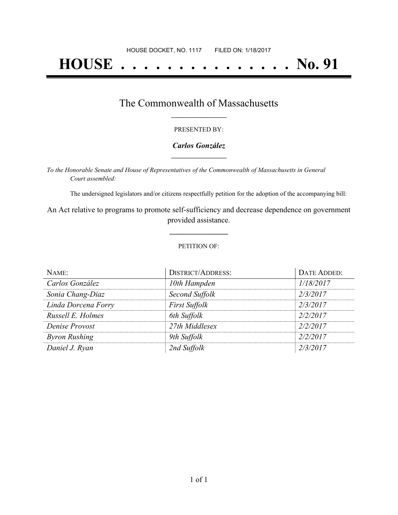# **HOUSE . . . . . . . . . . . . . . . No. 91**

## The Commonwealth of Massachusetts **\_\_\_\_\_\_\_\_\_\_\_\_\_\_\_\_\_**

#### PRESENTED BY:

#### *Carlos González* **\_\_\_\_\_\_\_\_\_\_\_\_\_\_\_\_\_**

*To the Honorable Senate and House of Representatives of the Commonwealth of Massachusetts in General Court assembled:*

The undersigned legislators and/or citizens respectfully petition for the adoption of the accompanying bill:

An Act relative to programs to promote self-sufficiency and decrease dependence on government provided assistance.

**\_\_\_\_\_\_\_\_\_\_\_\_\_\_\_**

#### PETITION OF:

| NAME:                | <b>DISTRICT/ADDRESS:</b> | DATE ADDED: |
|----------------------|--------------------------|-------------|
| Carlos González      | 10th Hampden             | 1/18/2017   |
| Sonia Chang-Diaz     | Second Suffolk           | 2/3/2017    |
| Linda Dorcena Forry  | <b>First Suffolk</b>     | 2/3/2017    |
| Russell E. Holmes    | 6th Suffolk              | 2/2/2017    |
| Denise Provost       | 27th Middlesex           | 2/2/2017    |
| <b>Byron Rushing</b> | 9th Suffolk              | 2/2/2017    |
| Daniel J. Ryan       | 2nd Suffolk              | 2/3/2017    |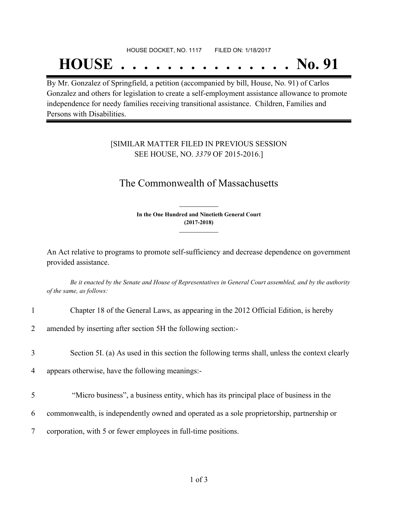# HOUSE DOCKET, NO. 1117 FILED ON: 1/18/2017 **HOUSE . . . . . . . . . . . . . . . No. 91**

By Mr. Gonzalez of Springfield, a petition (accompanied by bill, House, No. 91) of Carlos Gonzalez and others for legislation to create a self-employment assistance allowance to promote independence for needy families receiving transitional assistance. Children, Families and Persons with Disabilities.

### [SIMILAR MATTER FILED IN PREVIOUS SESSION SEE HOUSE, NO. *3379* OF 2015-2016.]

## The Commonwealth of Massachusetts

**In the One Hundred and Ninetieth General Court (2017-2018) \_\_\_\_\_\_\_\_\_\_\_\_\_\_\_**

**\_\_\_\_\_\_\_\_\_\_\_\_\_\_\_**

An Act relative to programs to promote self-sufficiency and decrease dependence on government provided assistance.

Be it enacted by the Senate and House of Representatives in General Court assembled, and by the authority *of the same, as follows:*

|  |  |  | Chapter 18 of the General Laws, as appearing in the 2012 Official Edition, is hereby |  |
|--|--|--|--------------------------------------------------------------------------------------|--|
|  |  |  |                                                                                      |  |

2 amended by inserting after section 5H the following section:-

3 Section 5I. (a) As used in this section the following terms shall, unless the context clearly

4 appears otherwise, have the following meanings:-

- 5 "Micro business", a business entity, which has its principal place of business in the
- 6 commonwealth, is independently owned and operated as a sole proprietorship, partnership or
- 7 corporation, with 5 or fewer employees in full-time positions.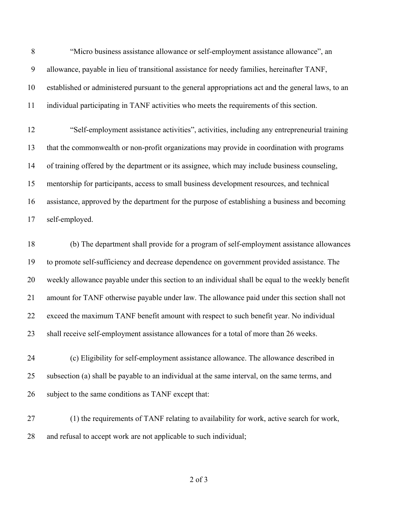"Micro business assistance allowance or self-employment assistance allowance", an allowance, payable in lieu of transitional assistance for needy families, hereinafter TANF, established or administered pursuant to the general appropriations act and the general laws, to an individual participating in TANF activities who meets the requirements of this section.

 "Self-employment assistance activities", activities, including any entrepreneurial training that the commonwealth or non-profit organizations may provide in coordination with programs of training offered by the department or its assignee, which may include business counseling, mentorship for participants, access to small business development resources, and technical assistance, approved by the department for the purpose of establishing a business and becoming self-employed.

 (b) The department shall provide for a program of self-employment assistance allowances to promote self-sufficiency and decrease dependence on government provided assistance. The weekly allowance payable under this section to an individual shall be equal to the weekly benefit amount for TANF otherwise payable under law. The allowance paid under this section shall not exceed the maximum TANF benefit amount with respect to such benefit year. No individual shall receive self-employment assistance allowances for a total of more than 26 weeks.

 (c) Eligibility for self-employment assistance allowance. The allowance described in subsection (a) shall be payable to an individual at the same interval, on the same terms, and 26 subject to the same conditions as TANF except that:

 (1) the requirements of TANF relating to availability for work, active search for work, and refusal to accept work are not applicable to such individual;

of 3